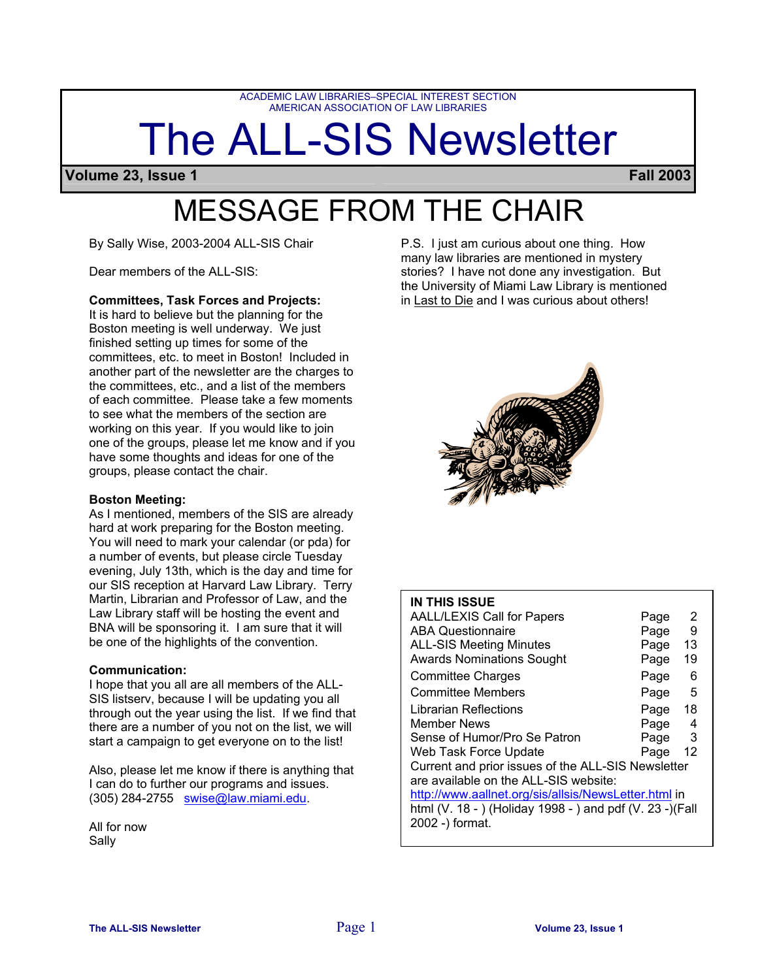ACADEMIC LAW LIBRARIES–SPECIAL INTEREST SECTION AMERICAN ASSOCIATION OF LAW LIBRARIES

# The ALL-SIS Newsletter

**Volume 23, Issue 1 Fall 2003**

## MESSAGE FROM THE CHAIR

By Sally Wise, 2003-2004 ALL-SIS Chair

Dear members of the ALL-SIS:

#### **Committees, Task Forces and Projects:**

It is hard to believe but the planning for the Boston meeting is well underway. We just finished setting up times for some of the committees, etc. to meet in Boston! Included in another part of the newsletter are the charges to the committees, etc., and a list of the members of each committee. Please take a few moments to see what the members of the section are working on this year. If you would like to join one of the groups, please let me know and if you have some thoughts and ideas for one of the groups, please contact the chair.

#### **Boston Meeting:**

As I mentioned, members of the SIS are already hard at work preparing for the Boston meeting. You will need to mark your calendar (or pda) for a number of events, but please circle Tuesday evening, July 13th, which is the day and time for our SIS reception at Harvard Law Library. Terry Martin, Librarian and Professor of Law, and the Law Library staff will be hosting the event and BNA will be sponsoring it. I am sure that it will be one of the highlights of the convention.

#### **Communication:**

I hope that you all are all members of the ALL-SIS listserv, because I will be updating you all through out the year using the list. If we find that there are a number of you not on the list, we will start a campaign to get everyone on to the list!

Also, please let me know if there is anything that I can do to further our programs and issues. (305) 284-2755 swise@law.miami.edu.

All for now Sally

P.S. I just am curious about one thing. How many law libraries are mentioned in mystery stories? I have not done any investigation. But the University of Miami Law Library is mentioned in Last to Die and I was curious about others!



### **IN THIS ISSUE**

| <b>AALL/LEXIS Call for Papers</b>                         | Page | 2  |  |  |
|-----------------------------------------------------------|------|----|--|--|
| <b>ABA Questionnaire</b>                                  | Page | 9  |  |  |
| <b>ALL-SIS Meeting Minutes</b>                            | Page | 13 |  |  |
| <b>Awards Nominations Sought</b>                          | Page | 19 |  |  |
| <b>Committee Charges</b>                                  | Page | 6  |  |  |
| <b>Committee Members</b>                                  | Page | 5  |  |  |
| Librarian Reflections                                     | Page | 18 |  |  |
| Member News                                               | Page | 4  |  |  |
| Sense of Humor/Pro Se Patron                              | Page | 3  |  |  |
| Web Task Force Update                                     | Page | 12 |  |  |
| Current and prior issues of the ALL-SIS Newsletter        |      |    |  |  |
| are available on the ALL-SIS website:                     |      |    |  |  |
| http://www.aallnet.org/sis/allsis/NewsLetter.html in      |      |    |  |  |
| html (V. 18 - ) (Holiday 1998 - ) and pdf (V. 23 -) (Fall |      |    |  |  |
| 2002 -) format.                                           |      |    |  |  |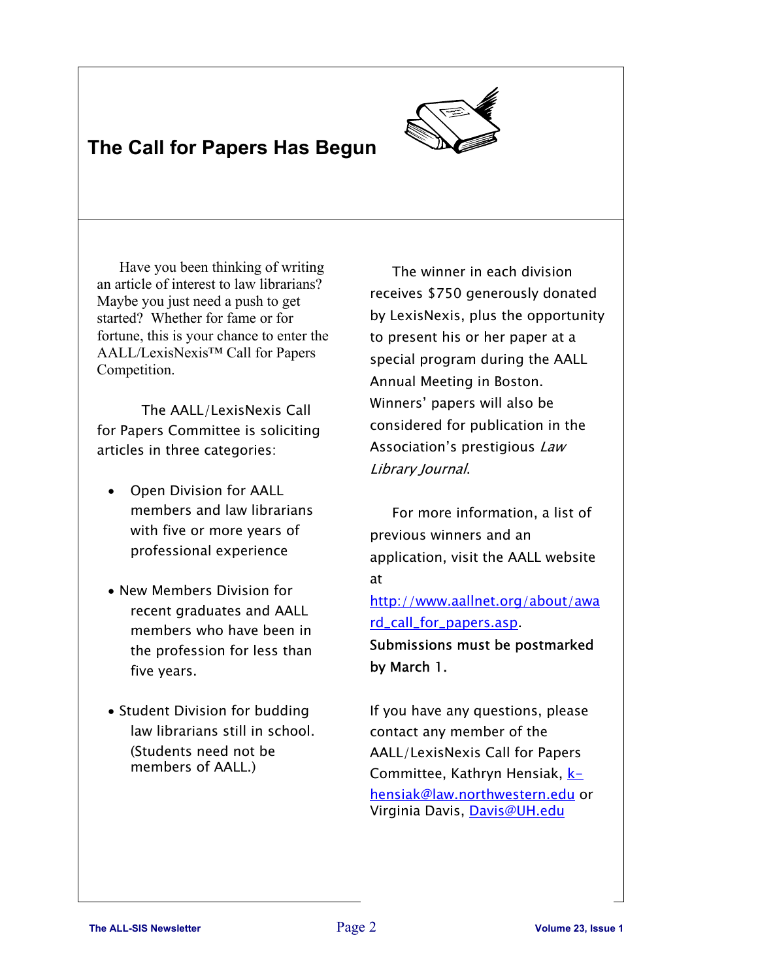## **The Call for Papers Has Begun**



Have you been thinking of writing an article of interest to law librarians? Maybe you just need a push to get started? Whether for fame or for fortune, this is your chance to enter the AALL/LexisNexis™ Call for Papers Competition.

The AALL/LexisNexis Call for Papers Committee is soliciting articles in three categories:

- Open Division for AALL members and law librarians with five or more years of professional experience
- New Members Division for recent graduates and AALL members who have been in the profession for less than five years.
- Student Division for budding law librarians still in school. (Students need not be members of AALL.)

The winner in each division receives \$750 generously donated by LexisNexis, plus the opportunity to present his or her paper at a special program during the AALL Annual Meeting in Boston. Winners' papers will also be considered for publication in the Association's prestigious Law Library Journal.

 For more information, a list of previous winners and an application, visit the AALL website at

http://www.aallnet.org/about/awa rd\_call\_for\_papers.asp.

Submissions must be postmarked by March 1.

If you have any questions, please contact any member of the AALL/LexisNexis Call for Papers Committee, Kathryn Hensiak, **k**hensiak@law.northwestern.edu or Virginia Davis, Davis@UH.edu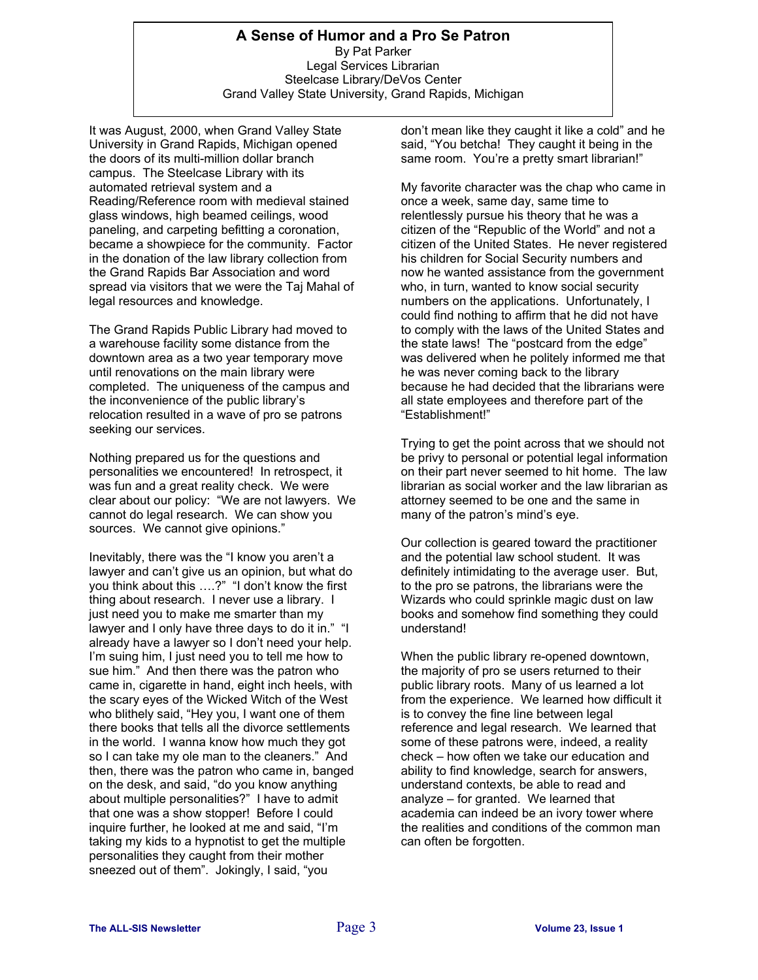#### **A Sense of Humor and a Pro Se Patron**  By Pat Parker Legal Services Librarian Steelcase Library/DeVos Center Grand Valley State University, Grand Rapids, Michigan

It was August, 2000, when Grand Valley State University in Grand Rapids, Michigan opened the doors of its multi-million dollar branch campus. The Steelcase Library with its automated retrieval system and a Reading/Reference room with medieval stained glass windows, high beamed ceilings, wood paneling, and carpeting befitting a coronation, became a showpiece for the community. Factor in the donation of the law library collection from the Grand Rapids Bar Association and word spread via visitors that we were the Taj Mahal of legal resources and knowledge.

The Grand Rapids Public Library had moved to a warehouse facility some distance from the downtown area as a two year temporary move until renovations on the main library were completed. The uniqueness of the campus and the inconvenience of the public library's relocation resulted in a wave of pro se patrons seeking our services.

Nothing prepared us for the questions and personalities we encountered! In retrospect, it was fun and a great reality check. We were clear about our policy: "We are not lawyers. We cannot do legal research. We can show you sources. We cannot give opinions."

Inevitably, there was the "I know you aren't a lawyer and can't give us an opinion, but what do you think about this ….?" "I don't know the first thing about research. I never use a library. I just need you to make me smarter than my lawyer and I only have three days to do it in." "I already have a lawyer so I don't need your help. I'm suing him, I just need you to tell me how to sue him." And then there was the patron who came in, cigarette in hand, eight inch heels, with the scary eyes of the Wicked Witch of the West who blithely said, "Hey you, I want one of them there books that tells all the divorce settlements in the world. I wanna know how much they got so I can take my ole man to the cleaners." And then, there was the patron who came in, banged on the desk, and said, "do you know anything about multiple personalities?" I have to admit that one was a show stopper! Before I could inquire further, he looked at me and said, "I'm taking my kids to a hypnotist to get the multiple personalities they caught from their mother sneezed out of them". Jokingly, I said, "you

don't mean like they caught it like a cold" and he said, "You betcha! They caught it being in the same room. You're a pretty smart librarian!"

My favorite character was the chap who came in once a week, same day, same time to relentlessly pursue his theory that he was a citizen of the "Republic of the World" and not a citizen of the United States. He never registered his children for Social Security numbers and now he wanted assistance from the government who, in turn, wanted to know social security numbers on the applications. Unfortunately, I could find nothing to affirm that he did not have to comply with the laws of the United States and the state laws! The "postcard from the edge" was delivered when he politely informed me that he was never coming back to the library because he had decided that the librarians were all state employees and therefore part of the "Establishment!"

Trying to get the point across that we should not be privy to personal or potential legal information on their part never seemed to hit home. The law librarian as social worker and the law librarian as attorney seemed to be one and the same in many of the patron's mind's eye.

Our collection is geared toward the practitioner and the potential law school student. It was definitely intimidating to the average user. But, to the pro se patrons, the librarians were the Wizards who could sprinkle magic dust on law books and somehow find something they could understand!

When the public library re-opened downtown, the majority of pro se users returned to their public library roots. Many of us learned a lot from the experience. We learned how difficult it is to convey the fine line between legal reference and legal research. We learned that some of these patrons were, indeed, a reality check – how often we take our education and ability to find knowledge, search for answers, understand contexts, be able to read and analyze – for granted. We learned that academia can indeed be an ivory tower where the realities and conditions of the common man can often be forgotten.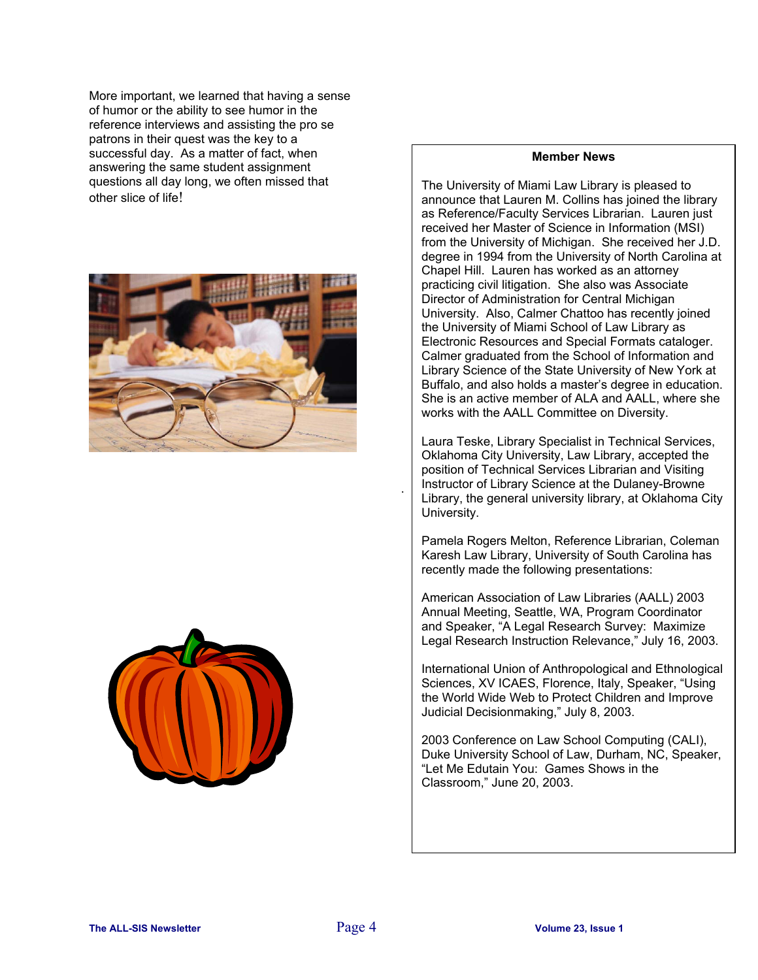More important, we learned that having a sense of humor or the ability to see humor in the reference interviews and assisting the pro se patrons in their quest was the key to a successful day. As a matter of fact, when answering the same student assignment questions all day long, we often missed that other slice of life!





#### **Member News**

The University of Miami Law Library is pleased to announce that Lauren M. Collins has joined the library as Reference/Faculty Services Librarian. Lauren just received her Master of Science in Information (MSI) from the University of Michigan. She received her J.D. degree in 1994 from the University of North Carolina at Chapel Hill. Lauren has worked as an attorney practicing civil litigation. She also was Associate Director of Administration for Central Michigan University. Also, Calmer Chattoo has recently joined the University of Miami School of Law Library as Electronic Resources and Special Formats cataloger. Calmer graduated from the School of Information and Library Science of the State University of New York at Buffalo, and also holds a master's degree in education. She is an active member of ALA and AALL, where she works with the AALL Committee on Diversity.

Laura Teske, Library Specialist in Technical Services, Oklahoma City University, Law Library, accepted the position of Technical Services Librarian and Visiting Instructor of Library Science at the Dulaney-Browne Library, the general university library, at Oklahoma City University.

Pamela Rogers Melton, Reference Librarian, Coleman Karesh Law Library, University of South Carolina has recently made the following presentations:

American Association of Law Libraries (AALL) 2003 Annual Meeting, Seattle, WA, Program Coordinator and Speaker, "A Legal Research Survey: Maximize Legal Research Instruction Relevance," July 16, 2003.

International Union of Anthropological and Ethnological Sciences, XV ICAES, Florence, Italy, Speaker, "Using the World Wide Web to Protect Children and Improve Judicial Decisionmaking," July 8, 2003.

2003 Conference on Law School Computing (CALI), Duke University School of Law, Durham, NC, Speaker, "Let Me Edutain You: Games Shows in the Classroom," June 20, 2003.

.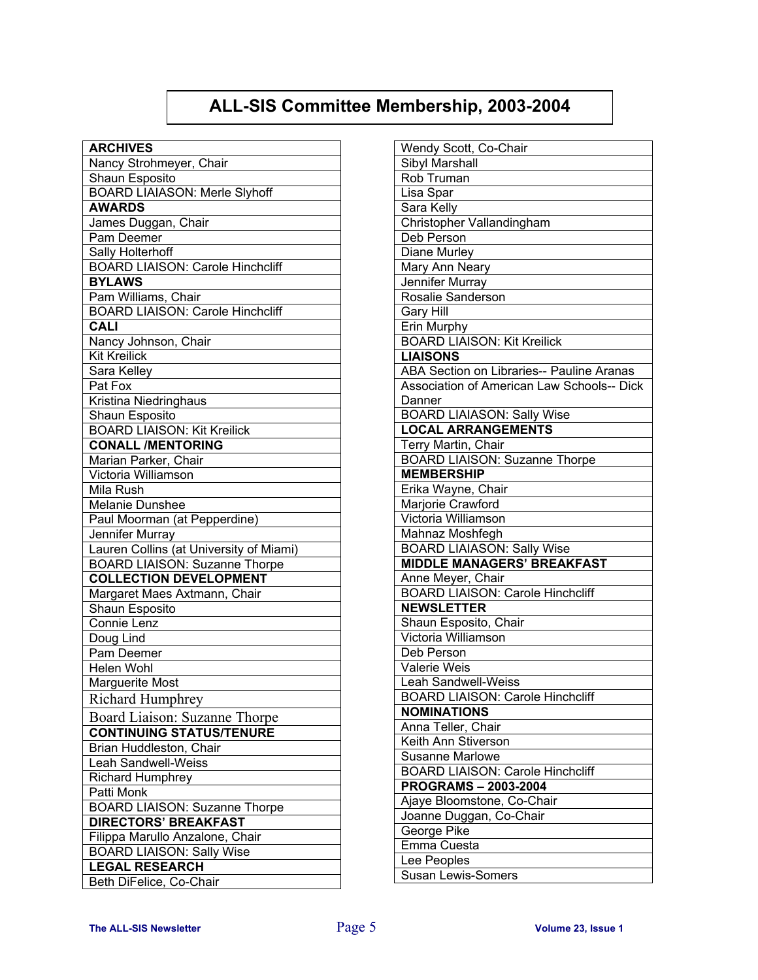## **ALL-SIS Committee Membership, 2003-2004**

| <b>ARCHIVES</b>                         |  |  |  |
|-----------------------------------------|--|--|--|
| Nancy Strohmeyer, Chair                 |  |  |  |
| Shaun Esposito                          |  |  |  |
| <b>BOARD LIAIASON: Merle Slyhoff</b>    |  |  |  |
| <b>AWARDS</b>                           |  |  |  |
| James Duggan, Chair                     |  |  |  |
| Pam Deemer                              |  |  |  |
| Sally Holterhoff                        |  |  |  |
| <b>BOARD LIAISON: Carole Hinchcliff</b> |  |  |  |
| <b>BYLAWS</b>                           |  |  |  |
| Pam Williams, Chair                     |  |  |  |
| <b>BOARD LIAISON: Carole Hinchcliff</b> |  |  |  |
| CALI                                    |  |  |  |
| Nancy Johnson, Chair                    |  |  |  |
| <b>Kit Kreilick</b>                     |  |  |  |
| Sara Kelley                             |  |  |  |
| Pat Fox                                 |  |  |  |
| Kristina Niedringhaus                   |  |  |  |
| Shaun Esposito                          |  |  |  |
| <b>BOARD LIAISON: Kit Kreilick</b>      |  |  |  |
| <b>CONALL /MENTORING</b>                |  |  |  |
| Marian Parker, Chair                    |  |  |  |
| Victoria Williamson                     |  |  |  |
| Mila Rush                               |  |  |  |
| Melanie Dunshee                         |  |  |  |
| Paul Moorman (at Pepperdine)            |  |  |  |
| Jennifer Murray                         |  |  |  |
| Lauren Collins (at University of Miami) |  |  |  |
| <b>BOARD LIAISON: Suzanne Thorpe</b>    |  |  |  |
| <b>COLLECTION DEVELOPMENT</b>           |  |  |  |
| Margaret Maes Axtmann, Chair            |  |  |  |
| Shaun Esposito                          |  |  |  |
| Connie Lenz                             |  |  |  |
| Doug Lind<br>Pam Deemer                 |  |  |  |
| Helen Wohl                              |  |  |  |
|                                         |  |  |  |
| Marguerite Most                         |  |  |  |
| <b>Richard Humphrey</b>                 |  |  |  |
| Board Liaison: Suzanne Thorpe           |  |  |  |
| <b>CONTINUING STATUS/TENURE</b>         |  |  |  |
| Brian Huddleston, Chair                 |  |  |  |
| Leah Sandwell-Weiss                     |  |  |  |
| Richard Humphrey                        |  |  |  |
| Patti Monk                              |  |  |  |
| <b>BOARD LIAISON: Suzanne Thorpe</b>    |  |  |  |
| <b>DIRECTORS' BREAKFAST</b>             |  |  |  |
| Filippa Marullo Anzalone, Chair         |  |  |  |
| <b>BOARD LIAISON: Sally Wise</b>        |  |  |  |
| <b>LEGAL RESEARCH</b>                   |  |  |  |
| Beth DiFelice, Co-Chair                 |  |  |  |

| Wendy Scott, Co-Chair                      |  |  |
|--------------------------------------------|--|--|
| Sibyl Marshall                             |  |  |
| Rob Truman                                 |  |  |
| Lisa Spar                                  |  |  |
| Sara Kelly                                 |  |  |
| Christopher Vallandingham                  |  |  |
| Deb Person                                 |  |  |
|                                            |  |  |
| Diane Murley                               |  |  |
| Mary Ann Neary                             |  |  |
| Jennifer Murray                            |  |  |
| Rosalie Sanderson                          |  |  |
| <b>Gary Hill</b>                           |  |  |
| Erin Murphy                                |  |  |
| <b>BOARD LIAISON: Kit Kreilick</b>         |  |  |
| <b>LIAISONS</b>                            |  |  |
| ABA Section on Libraries-- Pauline Aranas  |  |  |
| Association of American Law Schools-- Dick |  |  |
| Danner                                     |  |  |
| <b>BOARD LIAIASON: Sally Wise</b>          |  |  |
| <b>LOCAL ARRANGEMENTS</b>                  |  |  |
| Terry Martin, Chair                        |  |  |
| <b>BOARD LIAISON: Suzanne Thorpe</b>       |  |  |
| <b>MEMBERSHIP</b>                          |  |  |
| Erika Wayne, Chair                         |  |  |
| Marjorie Crawford                          |  |  |
| Victoria Williamson                        |  |  |
| Mahnaz Moshfegh                            |  |  |
| <b>BOARD LIAIASON: Sally Wise</b>          |  |  |
| <b>MIDDLE MANAGERS' BREAKFAST</b>          |  |  |
| Anne Meyer, Chair                          |  |  |
| <b>BOARD LIAISON: Carole Hinchcliff</b>    |  |  |
| <b>NEWSLETTER</b>                          |  |  |
| Shaun Esposito, Chair                      |  |  |
| Victoria Williamson                        |  |  |
| Deb Person                                 |  |  |
| Valerie Weis                               |  |  |
| Leah Sandwell-Weiss                        |  |  |
| <b>BOARD LIAISON: Carole Hinchcliff</b>    |  |  |
| <b>NOMINATIONS</b>                         |  |  |
| Anna Teller, Chair                         |  |  |
| Keith Ann Stiverson                        |  |  |
| <b>Susanne Marlowe</b>                     |  |  |
| <b>BOARD LIAISON: Carole Hinchcliff</b>    |  |  |
| <b>PROGRAMS-2003-2004</b>                  |  |  |
| Ajaye Bloomstone, Co-Chair                 |  |  |
| Joanne Duggan, Co-Chair                    |  |  |
| George Pike                                |  |  |
| Emma Cuesta                                |  |  |
| Lee Peoples                                |  |  |
| <b>Susan Lewis-Somers</b>                  |  |  |
|                                            |  |  |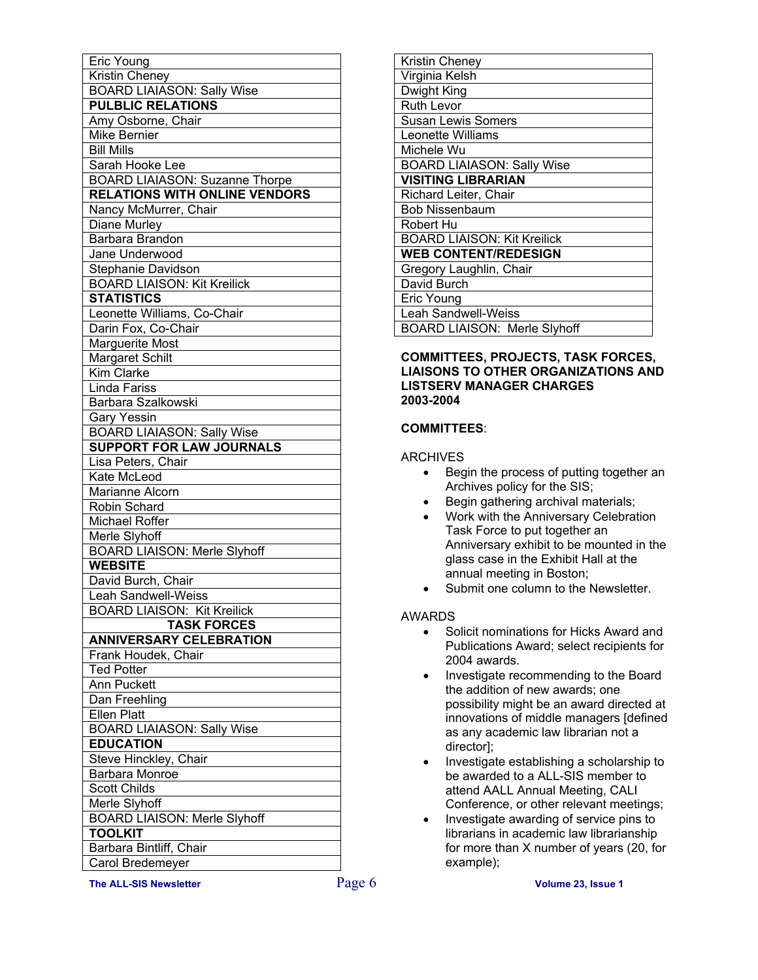| Eric Young                            |  |  |  |
|---------------------------------------|--|--|--|
| <b>Kristin Cheney</b>                 |  |  |  |
| <b>BOARD LIAIASON: Sally Wise</b>     |  |  |  |
| <b>PULBLIC RELATIONS</b>              |  |  |  |
|                                       |  |  |  |
| Amy Osborne, Chair                    |  |  |  |
| <b>Mike Bernier</b>                   |  |  |  |
| <b>Bill Mills</b>                     |  |  |  |
| Sarah Hooke Lee                       |  |  |  |
| <b>BOARD LIAIASON: Suzanne Thorpe</b> |  |  |  |
| <b>RELATIONS WITH ONLINE VENDORS</b>  |  |  |  |
| Nancy McMurrer, Chair                 |  |  |  |
| Diane Murley                          |  |  |  |
| Barbara Brandon                       |  |  |  |
| Jane Underwood                        |  |  |  |
| Stephanie Davidson                    |  |  |  |
| <b>BOARD LIAISON: Kit Kreilick</b>    |  |  |  |
| <b>STATISTICS</b>                     |  |  |  |
| Leonette Williams, Co-Chair           |  |  |  |
| Darin Fox, Co-Chair                   |  |  |  |
| <b>Marguerite Most</b>                |  |  |  |
| <b>Margaret Schilt</b>                |  |  |  |
| Kim Clarke                            |  |  |  |
| Linda Fariss                          |  |  |  |
| Barbara Szalkowski                    |  |  |  |
| <b>Gary Yessin</b>                    |  |  |  |
| <b>BOARD LIAIASON: Sally Wise</b>     |  |  |  |
| <b>SUPPORT FOR LAW JOURNALS</b>       |  |  |  |
| Lisa Peters, Chair                    |  |  |  |
| Kate McLeod                           |  |  |  |
| Marianne Alcorn                       |  |  |  |
| Robin Schard                          |  |  |  |
| Michael Roffer                        |  |  |  |
| Merle Slyhoff                         |  |  |  |
| <b>BOARD LIAISON: Merle Slyhoff</b>   |  |  |  |
| <b>WEBSITE</b>                        |  |  |  |
| David Burch, Chair                    |  |  |  |
| <b>Leah Sandwell-Weiss</b>            |  |  |  |
| <b>BOARD LIAISON: Kit Kreilick</b>    |  |  |  |
| <b>TASK FORCES</b>                    |  |  |  |
| <b>ANNIVERSARY CELEBRATION</b>        |  |  |  |
| Frank Houdek, Chair                   |  |  |  |
| <b>Ted Potter</b>                     |  |  |  |
|                                       |  |  |  |
| Ann Puckett                           |  |  |  |
| Dan Freehling                         |  |  |  |
| <b>Ellen Platt</b>                    |  |  |  |
| <b>BOARD LIAIASON: Sally Wise</b>     |  |  |  |
| <b>EDUCATION</b>                      |  |  |  |
| Steve Hinckley, Chair                 |  |  |  |
| <b>Barbara Monroe</b>                 |  |  |  |
| <b>Scott Childs</b>                   |  |  |  |
| Merle Slyhoff                         |  |  |  |
| <b>BOARD LIAISON: Merle Slyhoff</b>   |  |  |  |
| <b>TOOLKIT</b>                        |  |  |  |
| Barbara Bintliff, Chair               |  |  |  |
| Carol Bredemeyer                      |  |  |  |

| Kristin Cheney                      |
|-------------------------------------|
| Virginia Kelsh                      |
| Dwight King                         |
| Ruth Levor                          |
| <b>Susan Lewis Somers</b>           |
| Leonette Williams                   |
| Michele Wu                          |
| <b>BOARD LIAIASON: Sally Wise</b>   |
| <b>VISITING LIBRARIAN</b>           |
| Richard Leiter, Chair               |
| <b>Bob Nissenbaum</b>               |
| Robert Hu                           |
| <b>BOARD LIAISON: Kit Kreilick</b>  |
| <b>WEB CONTENT/REDESIGN</b>         |
| Gregory Laughlin, Chair             |
| David Burch                         |
| Eric Young                          |
| <b>Leah Sandwell-Weiss</b>          |
| <b>BOARD LIAISON: Merle Slyhoff</b> |
|                                     |

#### **COMMITTEES, PROJECTS, TASK FORCES, LIAISONS TO OTHER ORGANIZATIONS AND LISTSERV MANAGER CHARGES 2003-2004**

#### **COMMITTEES**:

#### ARCHIVES

- Begin the process of putting together an Archives policy for the SIS;
- Begin gathering archival materials;
- Work with the Anniversary Celebration Task Force to put together an Anniversary exhibit to be mounted in the glass case in the Exhibit Hall at the annual meeting in Boston;
- Submit one column to the Newsletter.

#### AWARDS

- Solicit nominations for Hicks Award and Publications Award; select recipients for 2004 awards.
- Investigate recommending to the Board the addition of new awards; one possibility might be an award directed at innovations of middle managers [defined as any academic law librarian not a director];
- Investigate establishing a scholarship to be awarded to a ALL-SIS member to attend AALL Annual Meeting, CALI Conference, or other relevant meetings;
- Investigate awarding of service pins to librarians in academic law librarianship for more than X number of years (20, for example);

**The ALL-SIS Newsletter** Page 6 **Volume 23, Issue 1**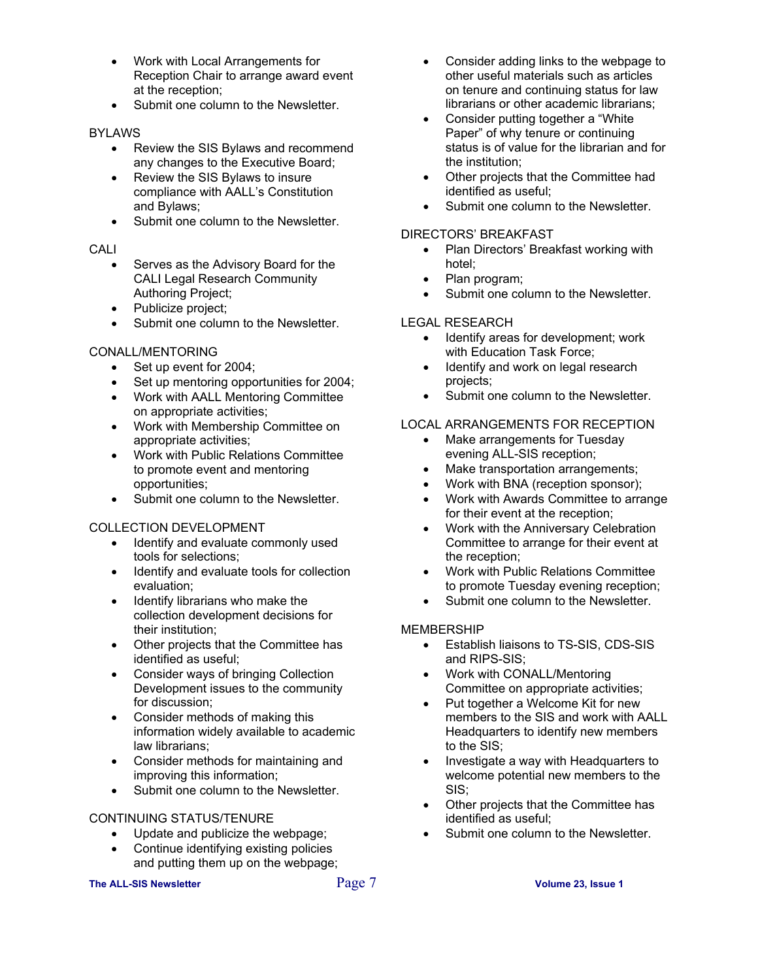- Work with Local Arrangements for Reception Chair to arrange award event at the reception;
- Submit one column to the Newsletter.

#### BYLAWS

- Review the SIS Bylaws and recommend any changes to the Executive Board;
- Review the SIS Bylaws to insure compliance with AALL's Constitution and Bylaws;
- Submit one column to the Newsletter.

#### CALI

- Serves as the Advisory Board for the CALI Legal Research Community Authoring Project;
- Publicize project;
- Submit one column to the Newsletter.

#### CONALL/MENTORING

- Set up event for 2004;
- Set up mentoring opportunities for 2004;
- Work with AALL Mentoring Committee on appropriate activities;
- Work with Membership Committee on appropriate activities;
- Work with Public Relations Committee to promote event and mentoring opportunities;
- Submit one column to the Newsletter.

#### COLLECTION DEVELOPMENT

- Identify and evaluate commonly used tools for selections;
- Identify and evaluate tools for collection evaluation;
- Identify librarians who make the collection development decisions for their institution;
- Other projects that the Committee has identified as useful;
- Consider ways of bringing Collection Development issues to the community for discussion;
- Consider methods of making this information widely available to academic law librarians;
- Consider methods for maintaining and improving this information;
- Submit one column to the Newsletter.

#### CONTINUING STATUS/TENURE

- Update and publicize the webpage;
- Continue identifying existing policies and putting them up on the webpage;

#### **The ALL-SIS Newsletter** Page 7 **Volume 23, Issue 1**

- Consider adding links to the webpage to other useful materials such as articles on tenure and continuing status for law librarians or other academic librarians;
- Consider putting together a "White Paper" of why tenure or continuing status is of value for the librarian and for the institution;
- Other projects that the Committee had identified as useful;
- Submit one column to the Newsletter.

#### DIRECTORS' BREAKFAST

- Plan Directors' Breakfast working with hotel;
- Plan program;
- Submit one column to the Newsletter.

#### LEGAL RESEARCH

- Identify areas for development; work with Education Task Force;
- Identify and work on legal research projects;
- Submit one column to the Newsletter.

#### LOCAL ARRANGEMENTS FOR RECEPTION

- Make arrangements for Tuesday evening ALL-SIS reception;
- Make transportation arrangements;
- Work with BNA (reception sponsor);
- Work with Awards Committee to arrange for their event at the reception;
- Work with the Anniversary Celebration Committee to arrange for their event at the reception;
- Work with Public Relations Committee to promote Tuesday evening reception;
- Submit one column to the Newsletter.

#### MEMBERSHIP

- Establish liaisons to TS-SIS, CDS-SIS and RIPS-SIS;
- Work with CONALL/Mentoring Committee on appropriate activities;
- Put together a Welcome Kit for new members to the SIS and work with AALL Headquarters to identify new members to the SIS;
- Investigate a way with Headquarters to welcome potential new members to the SIS;
- Other projects that the Committee has identified as useful;
- Submit one column to the Newsletter.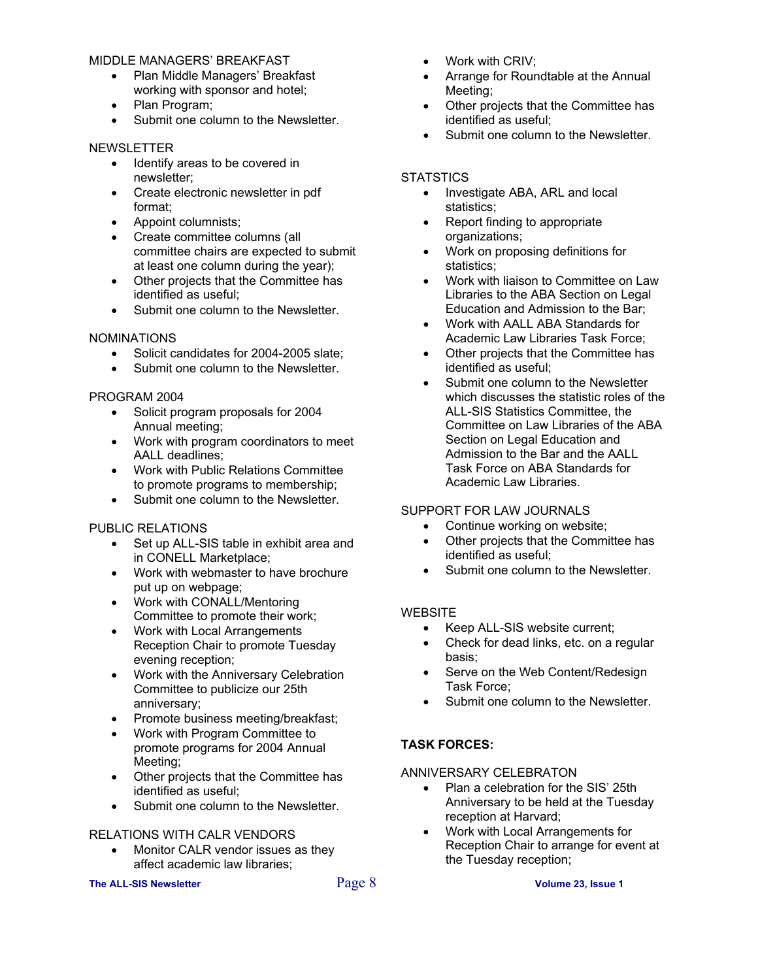#### MIDDLE MANAGERS' BREAKFAST

- Plan Middle Managers' Breakfast working with sponsor and hotel;
- Plan Program;
- Submit one column to the Newsletter.

#### NEWSLETTER

- Identify areas to be covered in newsletter;
- Create electronic newsletter in pdf format;
- Appoint columnists;
- Create committee columns (all committee chairs are expected to submit at least one column during the year);
- Other projects that the Committee has identified as useful;
- Submit one column to the Newsletter.

#### NOMINATIONS

- Solicit candidates for 2004-2005 slate;
- Submit one column to the Newsletter.

#### PROGRAM 2004

- Solicit program proposals for 2004 Annual meeting;
- Work with program coordinators to meet AALL deadlines;
- Work with Public Relations Committee to promote programs to membership;
- Submit one column to the Newsletter.

#### PUBLIC RELATIONS

- Set up ALL-SIS table in exhibit area and in CONELL Marketplace;
- Work with webmaster to have brochure put up on webpage;
- Work with CONALL/Mentoring Committee to promote their work;
- Work with Local Arrangements Reception Chair to promote Tuesday evening reception;
- Work with the Anniversary Celebration Committee to publicize our 25th anniversary;
- Promote business meeting/breakfast;
- Work with Program Committee to promote programs for 2004 Annual Meeting;
- Other projects that the Committee has identified as useful;
- Submit one column to the Newsletter.

#### RELATIONS WITH CALR VENDORS

• Monitor CALR vendor issues as they affect academic law libraries;

#### **The ALL-SIS Newsletter** Page 8 **Volume 23, Issue 1**

- Work with CRIV;
- Arrange for Roundtable at the Annual Meeting;
- Other projects that the Committee has identified as useful;
- Submit one column to the Newsletter.

#### **STATSTICS**

- Investigate ABA, ARL and local statistics;
- Report finding to appropriate organizations;
- Work on proposing definitions for statistics;
- Work with liaison to Committee on Law Libraries to the ABA Section on Legal Education and Admission to the Bar;
- Work with AALL ABA Standards for Academic Law Libraries Task Force;
- Other projects that the Committee has identified as useful;
- Submit one column to the Newsletter which discusses the statistic roles of the ALL-SIS Statistics Committee, the Committee on Law Libraries of the ABA Section on Legal Education and Admission to the Bar and the AALL Task Force on ABA Standards for Academic Law Libraries.

#### SUPPORT FOR LAW JOURNALS

- Continue working on website;
- Other projects that the Committee has identified as useful;
- Submit one column to the Newsletter.

#### **WEBSITE**

- Keep ALL-SIS website current;
- Check for dead links, etc. on a regular basis;
- Serve on the Web Content/Redesign Task Force;
- Submit one column to the Newsletter.

#### **TASK FORCES:**

#### ANNIVERSARY CELEBRATON

- Plan a celebration for the SIS' 25th Anniversary to be held at the Tuesday reception at Harvard;
- Work with Local Arrangements for Reception Chair to arrange for event at the Tuesday reception;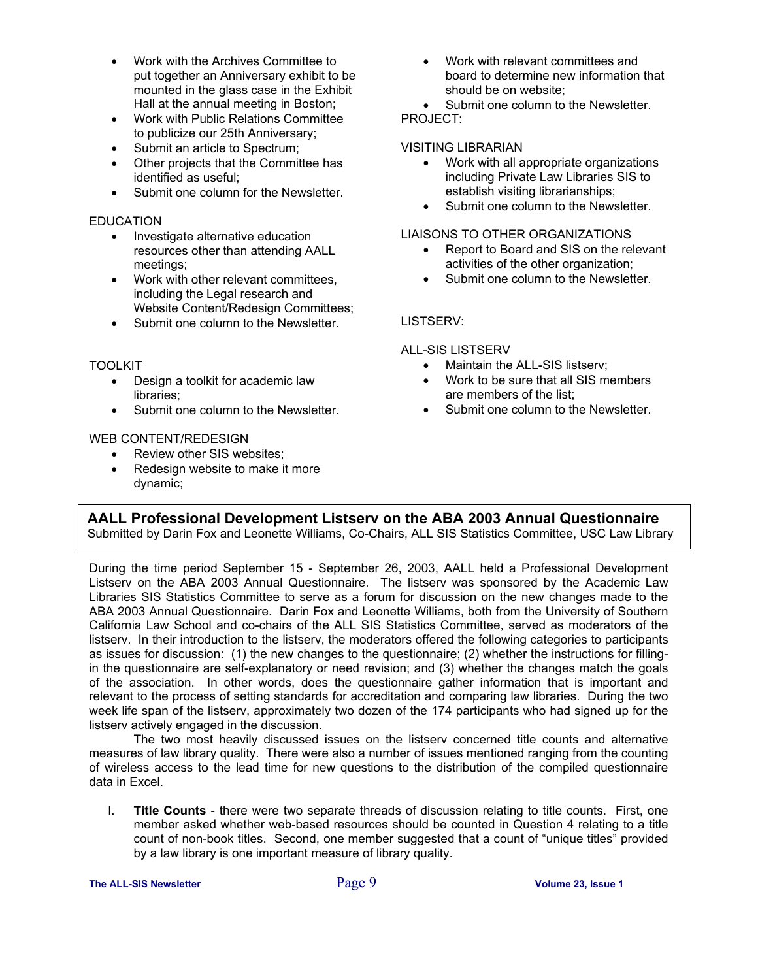- Work with the Archives Committee to put together an Anniversary exhibit to be mounted in the glass case in the Exhibit Hall at the annual meeting in Boston;
- Work with Public Relations Committee to publicize our 25th Anniversary;
- Submit an article to Spectrum;
- Other projects that the Committee has identified as useful;
- Submit one column for the Newsletter.

#### **EDUCATION**

- Investigate alternative education resources other than attending AALL meetings;
- Work with other relevant committees, including the Legal research and Website Content/Redesign Committees;
- Submit one column to the Newsletter.

#### TOOLKIT

- Design a toolkit for academic law libraries;
- Submit one column to the Newsletter.

#### WEB CONTENT/REDESIGN

- Review other SIS websites:
- Redesign website to make it more dynamic;

• Work with relevant committees and board to determine new information that should be on website;

• Submit one column to the Newsletter. PROJECT:

#### VISITING LIBRARIAN

- Work with all appropriate organizations including Private Law Libraries SIS to establish visiting librarianships;
- Submit one column to the Newsletter.

#### LIAISONS TO OTHER ORGANIZATIONS

- Report to Board and SIS on the relevant activities of the other organization;
- Submit one column to the Newsletter.

#### LISTSERV:

#### ALL-SIS LISTSERV

- Maintain the ALL-SIS listserv:
- Work to be sure that all SIS members are members of the list;
- Submit one column to the Newsletter.

#### **AALL Professional Development Listserv on the ABA 2003 Annual Questionnaire**

Submitted by Darin Fox and Leonette Williams, Co-Chairs, ALL SIS Statistics Committee, USC Law Library

During the time period September 15 - September 26, 2003, AALL held a Professional Development Listserv on the ABA 2003 Annual Questionnaire. The listserv was sponsored by the Academic Law Libraries SIS Statistics Committee to serve as a forum for discussion on the new changes made to the ABA 2003 Annual Questionnaire. Darin Fox and Leonette Williams, both from the University of Southern California Law School and co-chairs of the ALL SIS Statistics Committee, served as moderators of the listserv. In their introduction to the listserv, the moderators offered the following categories to participants as issues for discussion: (1) the new changes to the questionnaire; (2) whether the instructions for fillingin the questionnaire are self-explanatory or need revision; and (3) whether the changes match the goals of the association. In other words, does the questionnaire gather information that is important and relevant to the process of setting standards for accreditation and comparing law libraries. During the two week life span of the listserv, approximately two dozen of the 174 participants who had signed up for the listserv actively engaged in the discussion.

 The two most heavily discussed issues on the listserv concerned title counts and alternative measures of law library quality. There were also a number of issues mentioned ranging from the counting of wireless access to the lead time for new questions to the distribution of the compiled questionnaire data in Excel.

I. **Title Counts** - there were two separate threads of discussion relating to title counts. First, one member asked whether web-based resources should be counted in Question 4 relating to a title count of non-book titles. Second, one member suggested that a count of "unique titles" provided by a law library is one important measure of library quality.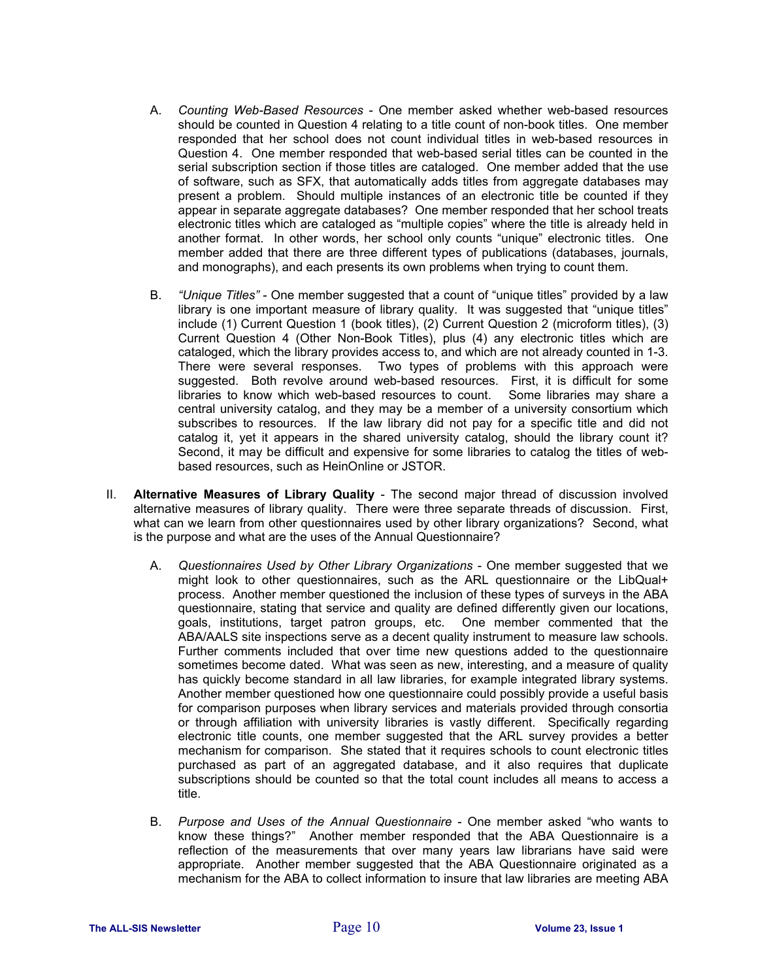- A. *Counting Web-Based Resources* One member asked whether web-based resources should be counted in Question 4 relating to a title count of non-book titles. One member responded that her school does not count individual titles in web-based resources in Question 4. One member responded that web-based serial titles can be counted in the serial subscription section if those titles are cataloged. One member added that the use of software, such as SFX, that automatically adds titles from aggregate databases may present a problem. Should multiple instances of an electronic title be counted if they appear in separate aggregate databases? One member responded that her school treats electronic titles which are cataloged as "multiple copies" where the title is already held in another format. In other words, her school only counts "unique" electronic titles. One member added that there are three different types of publications (databases, journals, and monographs), and each presents its own problems when trying to count them.
- B. *"Unique Titles"* One member suggested that a count of "unique titles" provided by a law library is one important measure of library quality. It was suggested that "unique titles" include (1) Current Question 1 (book titles), (2) Current Question 2 (microform titles), (3) Current Question 4 (Other Non-Book Titles), plus (4) any electronic titles which are cataloged, which the library provides access to, and which are not already counted in 1-3. There were several responses. Two types of problems with this approach were suggested. Both revolve around web-based resources. First, it is difficult for some libraries to know which web-based resources to count. Some libraries may share a central university catalog, and they may be a member of a university consortium which subscribes to resources. If the law library did not pay for a specific title and did not catalog it, yet it appears in the shared university catalog, should the library count it? Second, it may be difficult and expensive for some libraries to catalog the titles of webbased resources, such as HeinOnline or JSTOR.
- II. **Alternative Measures of Library Quality** The second major thread of discussion involved alternative measures of library quality. There were three separate threads of discussion. First, what can we learn from other questionnaires used by other library organizations? Second, what is the purpose and what are the uses of the Annual Questionnaire?
	- A. *Questionnaires Used by Other Library Organizations* One member suggested that we might look to other questionnaires, such as the ARL questionnaire or the LibQual+ process. Another member questioned the inclusion of these types of surveys in the ABA questionnaire, stating that service and quality are defined differently given our locations, goals, institutions, target patron groups, etc. One member commented that the ABA/AALS site inspections serve as a decent quality instrument to measure law schools. Further comments included that over time new questions added to the questionnaire sometimes become dated. What was seen as new, interesting, and a measure of quality has quickly become standard in all law libraries, for example integrated library systems. Another member questioned how one questionnaire could possibly provide a useful basis for comparison purposes when library services and materials provided through consortia or through affiliation with university libraries is vastly different. Specifically regarding electronic title counts, one member suggested that the ARL survey provides a better mechanism for comparison. She stated that it requires schools to count electronic titles purchased as part of an aggregated database, and it also requires that duplicate subscriptions should be counted so that the total count includes all means to access a title.
	- B. *Purpose and Uses of the Annual Questionnaire* One member asked "who wants to know these things?" Another member responded that the ABA Questionnaire is a reflection of the measurements that over many years law librarians have said were appropriate. Another member suggested that the ABA Questionnaire originated as a mechanism for the ABA to collect information to insure that law libraries are meeting ABA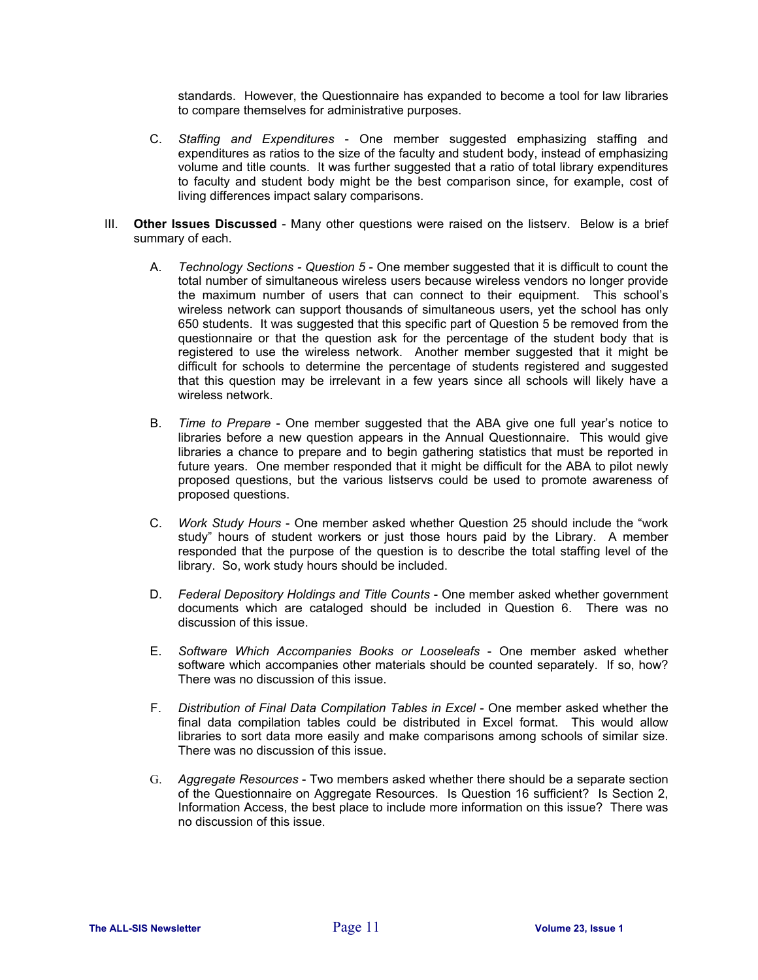standards. However, the Questionnaire has expanded to become a tool for law libraries to compare themselves for administrative purposes.

- C. *Staffing and Expenditures* One member suggested emphasizing staffing and expenditures as ratios to the size of the faculty and student body, instead of emphasizing volume and title counts. It was further suggested that a ratio of total library expenditures to faculty and student body might be the best comparison since, for example, cost of living differences impact salary comparisons.
- III. **Other Issues Discussed** Many other questions were raised on the listserv. Below is a brief summary of each.
	- A. *Technology Sections Question 5* One member suggested that it is difficult to count the total number of simultaneous wireless users because wireless vendors no longer provide the maximum number of users that can connect to their equipment. This school's wireless network can support thousands of simultaneous users, yet the school has only 650 students. It was suggested that this specific part of Question 5 be removed from the questionnaire or that the question ask for the percentage of the student body that is registered to use the wireless network. Another member suggested that it might be difficult for schools to determine the percentage of students registered and suggested that this question may be irrelevant in a few years since all schools will likely have a wireless network.
	- B. *Time to Prepare* One member suggested that the ABA give one full year's notice to libraries before a new question appears in the Annual Questionnaire. This would give libraries a chance to prepare and to begin gathering statistics that must be reported in future years. One member responded that it might be difficult for the ABA to pilot newly proposed questions, but the various listservs could be used to promote awareness of proposed questions.
	- C. *Work Study Hours* One member asked whether Question 25 should include the "work study" hours of student workers or just those hours paid by the Library. A member responded that the purpose of the question is to describe the total staffing level of the library. So, work study hours should be included.
	- D. *Federal Depository Holdings and Title Counts* One member asked whether government documents which are cataloged should be included in Question 6. There was no discussion of this issue.
	- E. *Software Which Accompanies Books or Looseleafs* One member asked whether software which accompanies other materials should be counted separately. If so, how? There was no discussion of this issue.
	- F. *Distribution of Final Data Compilation Tables in Excel* One member asked whether the final data compilation tables could be distributed in Excel format. This would allow libraries to sort data more easily and make comparisons among schools of similar size. There was no discussion of this issue.
	- G. *Aggregate Resources* Two members asked whether there should be a separate section of the Questionnaire on Aggregate Resources. Is Question 16 sufficient? Is Section 2, Information Access, the best place to include more information on this issue? There was no discussion of this issue.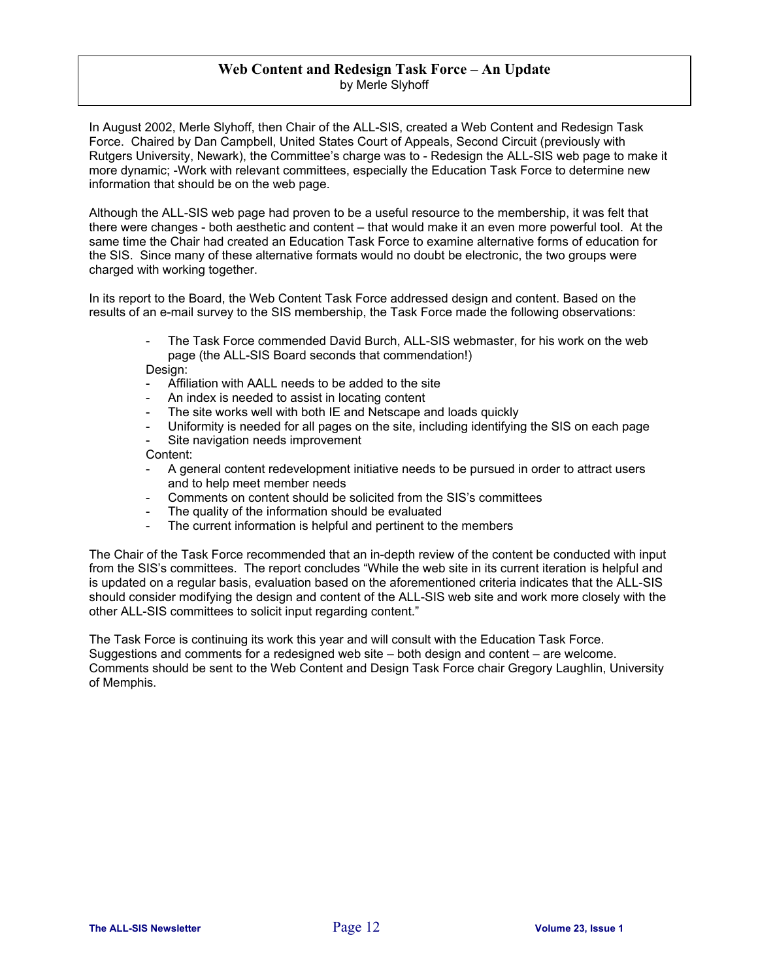#### **Web Content and Redesign Task Force – An Update**  by Merle Slyhoff

In August 2002, Merle Slyhoff, then Chair of the ALL-SIS, created a Web Content and Redesign Task Force. Chaired by Dan Campbell, United States Court of Appeals, Second Circuit (previously with Rutgers University, Newark), the Committee's charge was to - Redesign the ALL-SIS web page to make it more dynamic; -Work with relevant committees, especially the Education Task Force to determine new information that should be on the web page.

Although the ALL-SIS web page had proven to be a useful resource to the membership, it was felt that there were changes - both aesthetic and content – that would make it an even more powerful tool. At the same time the Chair had created an Education Task Force to examine alternative forms of education for the SIS. Since many of these alternative formats would no doubt be electronic, the two groups were charged with working together.

In its report to the Board, the Web Content Task Force addressed design and content. Based on the results of an e-mail survey to the SIS membership, the Task Force made the following observations:

> The Task Force commended David Burch, ALL-SIS webmaster, for his work on the web page (the ALL-SIS Board seconds that commendation!)

Design:

- Affiliation with AALL needs to be added to the site
- An index is needed to assist in locating content
- The site works well with both IE and Netscape and loads quickly
- Uniformity is needed for all pages on the site, including identifying the SIS on each page
- Site navigation needs improvement

Content:

- A general content redevelopment initiative needs to be pursued in order to attract users and to help meet member needs
- Comments on content should be solicited from the SIS's committees
- The quality of the information should be evaluated
- The current information is helpful and pertinent to the members

The Chair of the Task Force recommended that an in-depth review of the content be conducted with input from the SIS's committees. The report concludes "While the web site in its current iteration is helpful and is updated on a regular basis, evaluation based on the aforementioned criteria indicates that the ALL-SIS should consider modifying the design and content of the ALL-SIS web site and work more closely with the other ALL-SIS committees to solicit input regarding content."

The Task Force is continuing its work this year and will consult with the Education Task Force. Suggestions and comments for a redesigned web site – both design and content – are welcome. Comments should be sent to the Web Content and Design Task Force chair Gregory Laughlin, University of Memphis.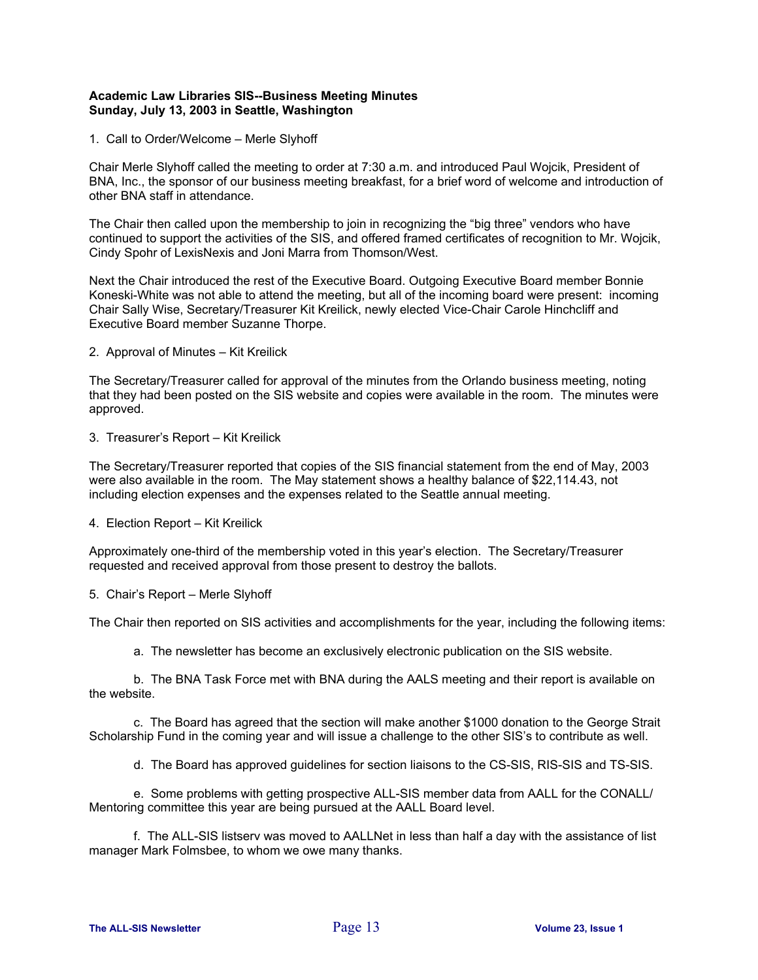#### **Academic Law Libraries SIS--Business Meeting Minutes Sunday, July 13, 2003 in Seattle, Washington**

1. Call to Order/Welcome – Merle Slyhoff

Chair Merle Slyhoff called the meeting to order at 7:30 a.m. and introduced Paul Wojcik, President of BNA, Inc., the sponsor of our business meeting breakfast, for a brief word of welcome and introduction of other BNA staff in attendance.

The Chair then called upon the membership to join in recognizing the "big three" vendors who have continued to support the activities of the SIS, and offered framed certificates of recognition to Mr. Wojcik, Cindy Spohr of LexisNexis and Joni Marra from Thomson/West.

Next the Chair introduced the rest of the Executive Board. Outgoing Executive Board member Bonnie Koneski-White was not able to attend the meeting, but all of the incoming board were present: incoming Chair Sally Wise, Secretary/Treasurer Kit Kreilick, newly elected Vice-Chair Carole Hinchcliff and Executive Board member Suzanne Thorpe.

2. Approval of Minutes – Kit Kreilick

The Secretary/Treasurer called for approval of the minutes from the Orlando business meeting, noting that they had been posted on the SIS website and copies were available in the room. The minutes were approved.

3. Treasurer's Report – Kit Kreilick

The Secretary/Treasurer reported that copies of the SIS financial statement from the end of May, 2003 were also available in the room. The May statement shows a healthy balance of \$22,114.43, not including election expenses and the expenses related to the Seattle annual meeting.

4. Election Report – Kit Kreilick

Approximately one-third of the membership voted in this year's election. The Secretary/Treasurer requested and received approval from those present to destroy the ballots.

#### 5. Chair's Report – Merle Slyhoff

The Chair then reported on SIS activities and accomplishments for the year, including the following items:

a. The newsletter has become an exclusively electronic publication on the SIS website.

 b. The BNA Task Force met with BNA during the AALS meeting and their report is available on the website.

 c. The Board has agreed that the section will make another \$1000 donation to the George Strait Scholarship Fund in the coming year and will issue a challenge to the other SIS's to contribute as well.

d. The Board has approved guidelines for section liaisons to the CS-SIS, RIS-SIS and TS-SIS.

 e. Some problems with getting prospective ALL-SIS member data from AALL for the CONALL/ Mentoring committee this year are being pursued at the AALL Board level.

 f. The ALL-SIS listserv was moved to AALLNet in less than half a day with the assistance of list manager Mark Folmsbee, to whom we owe many thanks.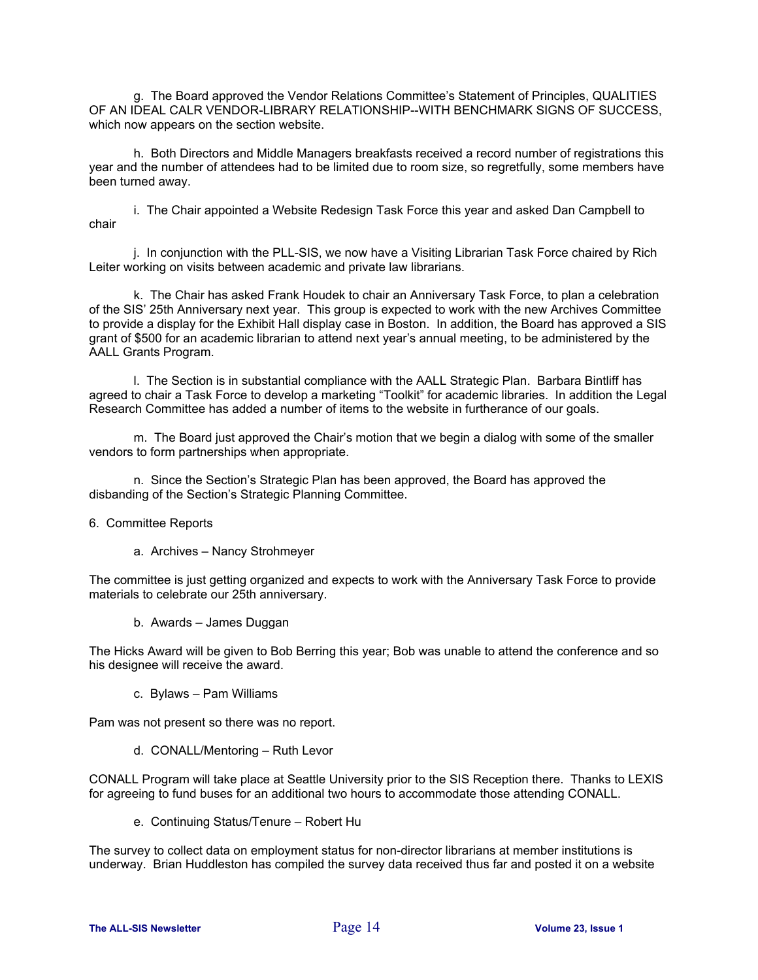g. The Board approved the Vendor Relations Committee's Statement of Principles, QUALITIES OF AN IDEAL CALR VENDOR-LIBRARY RELATIONSHIP--WITH BENCHMARK SIGNS OF SUCCESS, which now appears on the section website.

 h. Both Directors and Middle Managers breakfasts received a record number of registrations this year and the number of attendees had to be limited due to room size, so regretfully, some members have been turned away.

 i. The Chair appointed a Website Redesign Task Force this year and asked Dan Campbell to chair

 j. In conjunction with the PLL-SIS, we now have a Visiting Librarian Task Force chaired by Rich Leiter working on visits between academic and private law librarians.

 k. The Chair has asked Frank Houdek to chair an Anniversary Task Force, to plan a celebration of the SIS' 25th Anniversary next year. This group is expected to work with the new Archives Committee to provide a display for the Exhibit Hall display case in Boston. In addition, the Board has approved a SIS grant of \$500 for an academic librarian to attend next year's annual meeting, to be administered by the AALL Grants Program.

 l. The Section is in substantial compliance with the AALL Strategic Plan. Barbara Bintliff has agreed to chair a Task Force to develop a marketing "Toolkit" for academic libraries. In addition the Legal Research Committee has added a number of items to the website in furtherance of our goals.

 m. The Board just approved the Chair's motion that we begin a dialog with some of the smaller vendors to form partnerships when appropriate.

 n. Since the Section's Strategic Plan has been approved, the Board has approved the disbanding of the Section's Strategic Planning Committee.

#### 6. Committee Reports

a. Archives – Nancy Strohmeyer

The committee is just getting organized and expects to work with the Anniversary Task Force to provide materials to celebrate our 25th anniversary.

b. Awards – James Duggan

The Hicks Award will be given to Bob Berring this year; Bob was unable to attend the conference and so his designee will receive the award.

c. Bylaws – Pam Williams

Pam was not present so there was no report.

d. CONALL/Mentoring – Ruth Levor

CONALL Program will take place at Seattle University prior to the SIS Reception there. Thanks to LEXIS for agreeing to fund buses for an additional two hours to accommodate those attending CONALL.

e. Continuing Status/Tenure – Robert Hu

The survey to collect data on employment status for non-director librarians at member institutions is underway. Brian Huddleston has compiled the survey data received thus far and posted it on a website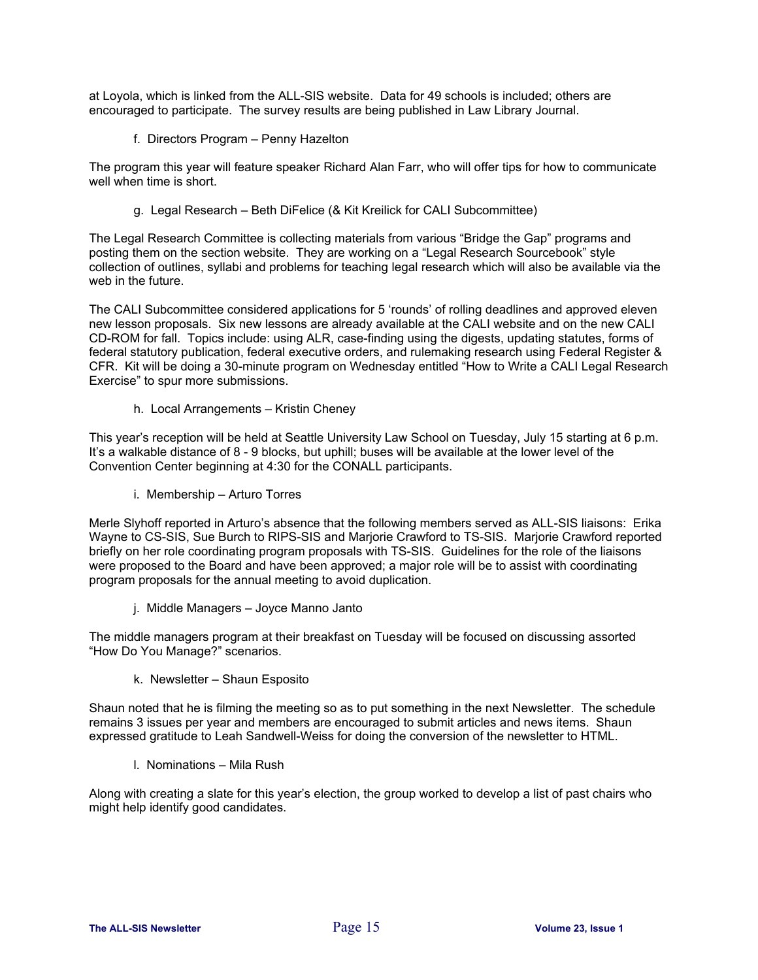at Loyola, which is linked from the ALL-SIS website. Data for 49 schools is included; others are encouraged to participate. The survey results are being published in Law Library Journal.

f. Directors Program – Penny Hazelton

The program this year will feature speaker Richard Alan Farr, who will offer tips for how to communicate well when time is short.

g. Legal Research – Beth DiFelice (& Kit Kreilick for CALI Subcommittee)

The Legal Research Committee is collecting materials from various "Bridge the Gap" programs and posting them on the section website. They are working on a "Legal Research Sourcebook" style collection of outlines, syllabi and problems for teaching legal research which will also be available via the web in the future.

The CALI Subcommittee considered applications for 5 'rounds' of rolling deadlines and approved eleven new lesson proposals. Six new lessons are already available at the CALI website and on the new CALI CD-ROM for fall. Topics include: using ALR, case-finding using the digests, updating statutes, forms of federal statutory publication, federal executive orders, and rulemaking research using Federal Register & CFR. Kit will be doing a 30-minute program on Wednesday entitled "How to Write a CALI Legal Research Exercise" to spur more submissions.

h. Local Arrangements – Kristin Cheney

This year's reception will be held at Seattle University Law School on Tuesday, July 15 starting at 6 p.m. It's a walkable distance of 8 - 9 blocks, but uphill; buses will be available at the lower level of the Convention Center beginning at 4:30 for the CONALL participants.

i. Membership – Arturo Torres

Merle Slyhoff reported in Arturo's absence that the following members served as ALL-SIS liaisons: Erika Wayne to CS-SIS, Sue Burch to RIPS-SIS and Marjorie Crawford to TS-SIS. Marjorie Crawford reported briefly on her role coordinating program proposals with TS-SIS. Guidelines for the role of the liaisons were proposed to the Board and have been approved; a major role will be to assist with coordinating program proposals for the annual meeting to avoid duplication.

j. Middle Managers – Joyce Manno Janto

The middle managers program at their breakfast on Tuesday will be focused on discussing assorted "How Do You Manage?" scenarios.

k. Newsletter – Shaun Esposito

Shaun noted that he is filming the meeting so as to put something in the next Newsletter. The schedule remains 3 issues per year and members are encouraged to submit articles and news items. Shaun expressed gratitude to Leah Sandwell-Weiss for doing the conversion of the newsletter to HTML.

l. Nominations – Mila Rush

Along with creating a slate for this year's election, the group worked to develop a list of past chairs who might help identify good candidates.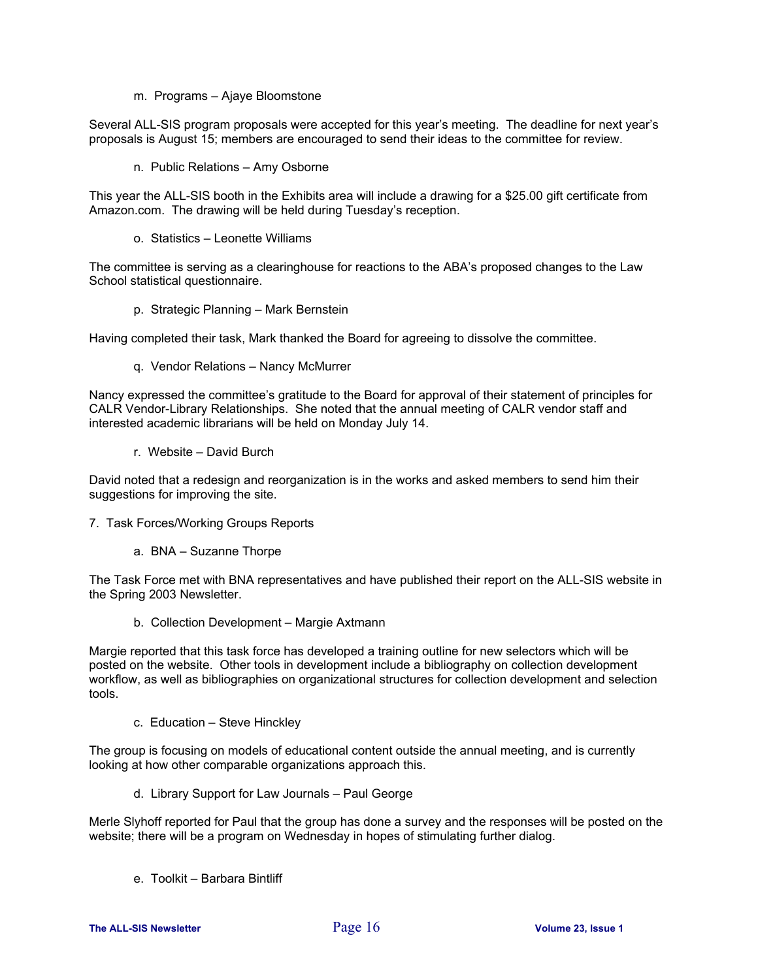m. Programs – Ajaye Bloomstone

Several ALL-SIS program proposals were accepted for this year's meeting. The deadline for next year's proposals is August 15; members are encouraged to send their ideas to the committee for review.

n. Public Relations – Amy Osborne

This year the ALL-SIS booth in the Exhibits area will include a drawing for a \$25.00 gift certificate from Amazon.com. The drawing will be held during Tuesday's reception.

o. Statistics – Leonette Williams

The committee is serving as a clearinghouse for reactions to the ABA's proposed changes to the Law School statistical questionnaire.

p. Strategic Planning – Mark Bernstein

Having completed their task, Mark thanked the Board for agreeing to dissolve the committee.

q. Vendor Relations – Nancy McMurrer

Nancy expressed the committee's gratitude to the Board for approval of their statement of principles for CALR Vendor-Library Relationships. She noted that the annual meeting of CALR vendor staff and interested academic librarians will be held on Monday July 14.

r. Website – David Burch

David noted that a redesign and reorganization is in the works and asked members to send him their suggestions for improving the site.

- 7. Task Forces/Working Groups Reports
	- a. BNA Suzanne Thorpe

The Task Force met with BNA representatives and have published their report on the ALL-SIS website in the Spring 2003 Newsletter.

b. Collection Development – Margie Axtmann

Margie reported that this task force has developed a training outline for new selectors which will be posted on the website. Other tools in development include a bibliography on collection development workflow, as well as bibliographies on organizational structures for collection development and selection tools.

c. Education – Steve Hinckley

The group is focusing on models of educational content outside the annual meeting, and is currently looking at how other comparable organizations approach this.

d. Library Support for Law Journals – Paul George

Merle Slyhoff reported for Paul that the group has done a survey and the responses will be posted on the website; there will be a program on Wednesday in hopes of stimulating further dialog.

e. Toolkit – Barbara Bintliff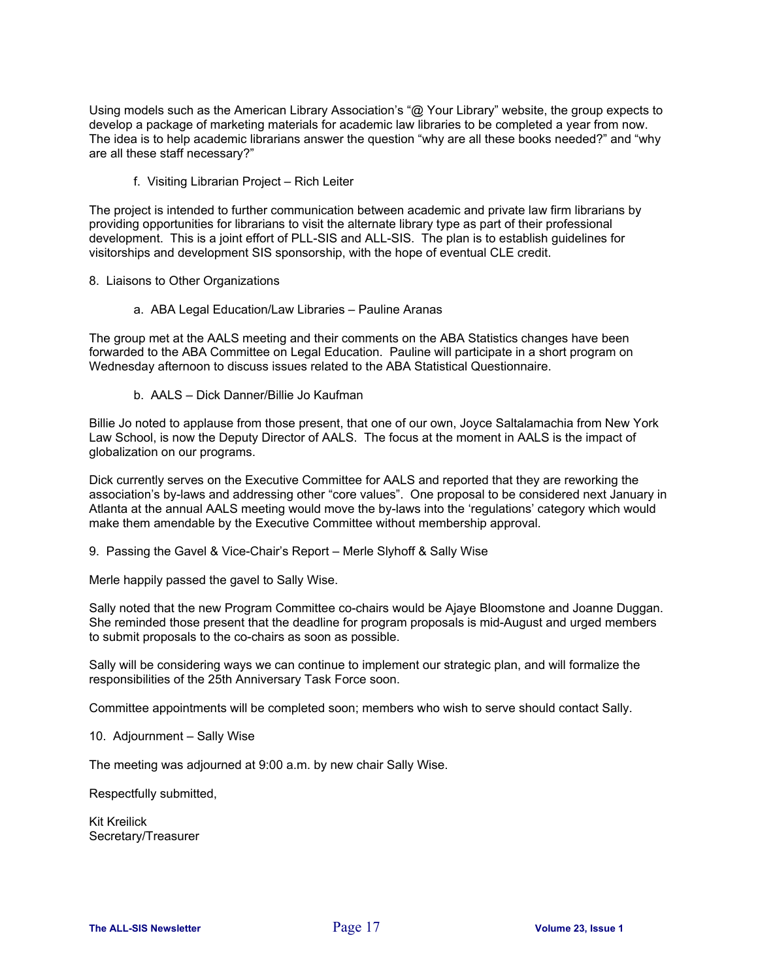Using models such as the American Library Association's "@ Your Library" website, the group expects to develop a package of marketing materials for academic law libraries to be completed a year from now. The idea is to help academic librarians answer the question "why are all these books needed?" and "why are all these staff necessary?"

f. Visiting Librarian Project – Rich Leiter

The project is intended to further communication between academic and private law firm librarians by providing opportunities for librarians to visit the alternate library type as part of their professional development. This is a joint effort of PLL-SIS and ALL-SIS. The plan is to establish guidelines for visitorships and development SIS sponsorship, with the hope of eventual CLE credit.

- 8. Liaisons to Other Organizations
	- a. ABA Legal Education/Law Libraries Pauline Aranas

The group met at the AALS meeting and their comments on the ABA Statistics changes have been forwarded to the ABA Committee on Legal Education. Pauline will participate in a short program on Wednesday afternoon to discuss issues related to the ABA Statistical Questionnaire.

b. AALS – Dick Danner/Billie Jo Kaufman

Billie Jo noted to applause from those present, that one of our own, Joyce Saltalamachia from New York Law School, is now the Deputy Director of AALS. The focus at the moment in AALS is the impact of globalization on our programs.

Dick currently serves on the Executive Committee for AALS and reported that they are reworking the association's by-laws and addressing other "core values". One proposal to be considered next January in Atlanta at the annual AALS meeting would move the by-laws into the 'regulations' category which would make them amendable by the Executive Committee without membership approval.

9. Passing the Gavel & Vice-Chair's Report – Merle Slyhoff & Sally Wise

Merle happily passed the gavel to Sally Wise.

Sally noted that the new Program Committee co-chairs would be Ajaye Bloomstone and Joanne Duggan. She reminded those present that the deadline for program proposals is mid-August and urged members to submit proposals to the co-chairs as soon as possible.

Sally will be considering ways we can continue to implement our strategic plan, and will formalize the responsibilities of the 25th Anniversary Task Force soon.

Committee appointments will be completed soon; members who wish to serve should contact Sally.

10. Adjournment – Sally Wise

The meeting was adjourned at 9:00 a.m. by new chair Sally Wise.

Respectfully submitted,

Kit Kreilick Secretary/Treasurer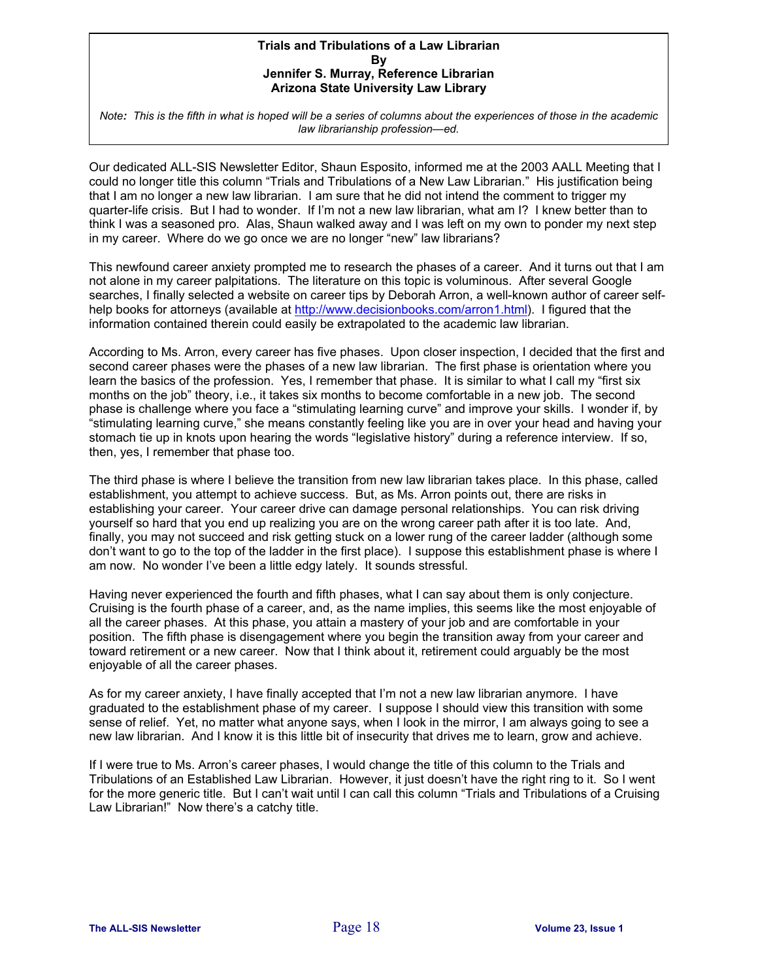#### **Trials and Tribulations of a Law Librarian By Jennifer S. Murray, Reference Librarian Arizona State University Law Library**

*Note: This is the fifth in what is hoped will be a series of columns about the experiences of those in the academic law librarianship profession—ed.*

Our dedicated ALL-SIS Newsletter Editor, Shaun Esposito, informed me at the 2003 AALL Meeting that I could no longer title this column "Trials and Tribulations of a New Law Librarian." His justification being that I am no longer a new law librarian. I am sure that he did not intend the comment to trigger my quarter-life crisis. But I had to wonder. If I'm not a new law librarian, what am I? I knew better than to think I was a seasoned pro. Alas, Shaun walked away and I was left on my own to ponder my next step in my career. Where do we go once we are no longer "new" law librarians?

This newfound career anxiety prompted me to research the phases of a career. And it turns out that I am not alone in my career palpitations. The literature on this topic is voluminous. After several Google searches, I finally selected a website on career tips by Deborah Arron, a well-known author of career selfhelp books for attorneys (available at http://www.decisionbooks.com/arron1.html). I figured that the information contained therein could easily be extrapolated to the academic law librarian.

According to Ms. Arron, every career has five phases. Upon closer inspection, I decided that the first and second career phases were the phases of a new law librarian. The first phase is orientation where you learn the basics of the profession. Yes, I remember that phase. It is similar to what I call my "first six months on the job" theory, i.e., it takes six months to become comfortable in a new job. The second phase is challenge where you face a "stimulating learning curve" and improve your skills. I wonder if, by "stimulating learning curve," she means constantly feeling like you are in over your head and having your stomach tie up in knots upon hearing the words "legislative history" during a reference interview. If so, then, yes, I remember that phase too.

The third phase is where I believe the transition from new law librarian takes place. In this phase, called establishment, you attempt to achieve success. But, as Ms. Arron points out, there are risks in establishing your career. Your career drive can damage personal relationships. You can risk driving yourself so hard that you end up realizing you are on the wrong career path after it is too late. And, finally, you may not succeed and risk getting stuck on a lower rung of the career ladder (although some don't want to go to the top of the ladder in the first place). I suppose this establishment phase is where I am now. No wonder I've been a little edgy lately. It sounds stressful.

Having never experienced the fourth and fifth phases, what I can say about them is only conjecture. Cruising is the fourth phase of a career, and, as the name implies, this seems like the most enjoyable of all the career phases. At this phase, you attain a mastery of your job and are comfortable in your position. The fifth phase is disengagement where you begin the transition away from your career and toward retirement or a new career. Now that I think about it, retirement could arguably be the most enjoyable of all the career phases.

As for my career anxiety, I have finally accepted that I'm not a new law librarian anymore. I have graduated to the establishment phase of my career. I suppose I should view this transition with some sense of relief. Yet, no matter what anyone says, when I look in the mirror, I am always going to see a new law librarian. And I know it is this little bit of insecurity that drives me to learn, grow and achieve.

If I were true to Ms. Arron's career phases, I would change the title of this column to the Trials and Tribulations of an Established Law Librarian. However, it just doesn't have the right ring to it. So I went for the more generic title. But I can't wait until I can call this column "Trials and Tribulations of a Cruising Law Librarian!" Now there's a catchy title.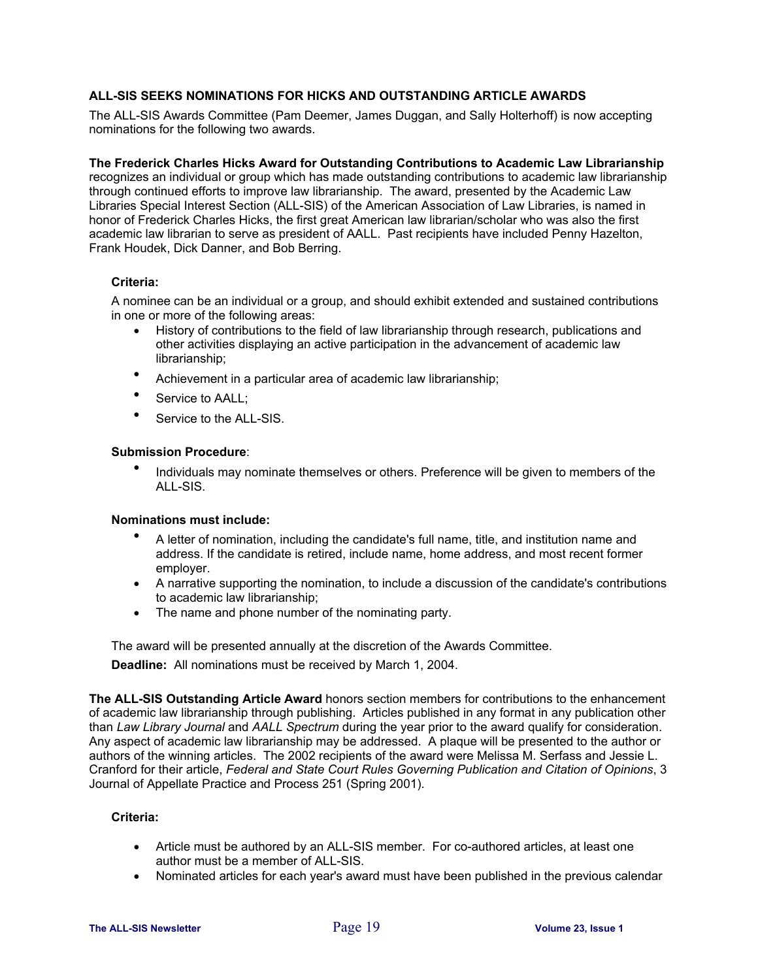#### **ALL-SIS SEEKS NOMINATIONS FOR HICKS AND OUTSTANDING ARTICLE AWARDS**

The ALL-SIS Awards Committee (Pam Deemer, James Duggan, and Sally Holterhoff) is now accepting nominations for the following two awards.

#### **The Frederick Charles Hicks Award for Outstanding Contributions to Academic Law Librarianship**

recognizes an individual or group which has made outstanding contributions to academic law librarianship through continued efforts to improve law librarianship. The award, presented by the Academic Law Libraries Special Interest Section (ALL-SIS) of the American Association of Law Libraries, is named in honor of Frederick Charles Hicks, the first great American law librarian/scholar who was also the first academic law librarian to serve as president of AALL. Past recipients have included Penny Hazelton, Frank Houdek, Dick Danner, and Bob Berring.

#### **Criteria:**

A nominee can be an individual or a group, and should exhibit extended and sustained contributions in one or more of the following areas:

- History of contributions to the field of law librarianship through research, publications and other activities displaying an active participation in the advancement of academic law librarianship;
- Achievement in a particular area of academic law librarianship;
- Service to AALL:
- Service to the ALL-SIS.

#### **Submission Procedure**:

• Individuals may nominate themselves or others. Preference will be given to members of the ALL-SIS.

#### **Nominations must include:**

- A letter of nomination, including the candidate's full name, title, and institution name and address. If the candidate is retired, include name, home address, and most recent former employer.
- A narrative supporting the nomination, to include a discussion of the candidate's contributions to academic law librarianship;
- The name and phone number of the nominating party.

The award will be presented annually at the discretion of the Awards Committee.

**Deadline:** All nominations must be received by March 1, 2004.

**The ALL-SIS Outstanding Article Award** honors section members for contributions to the enhancement of academic law librarianship through publishing. Articles published in any format in any publication other than *Law Library Journal* and *AALL Spectrum* during the year prior to the award qualify for consideration. Any aspect of academic law librarianship may be addressed. A plaque will be presented to the author or authors of the winning articles. The 2002 recipients of the award were Melissa M. Serfass and Jessie L. Cranford for their article, *Federal and State Court Rules Governing Publication and Citation of Opinions*, 3 Journal of Appellate Practice and Process 251 (Spring 2001).

#### **Criteria:**

- Article must be authored by an ALL-SIS member. For co-authored articles, at least one author must be a member of ALL-SIS.
- Nominated articles for each year's award must have been published in the previous calendar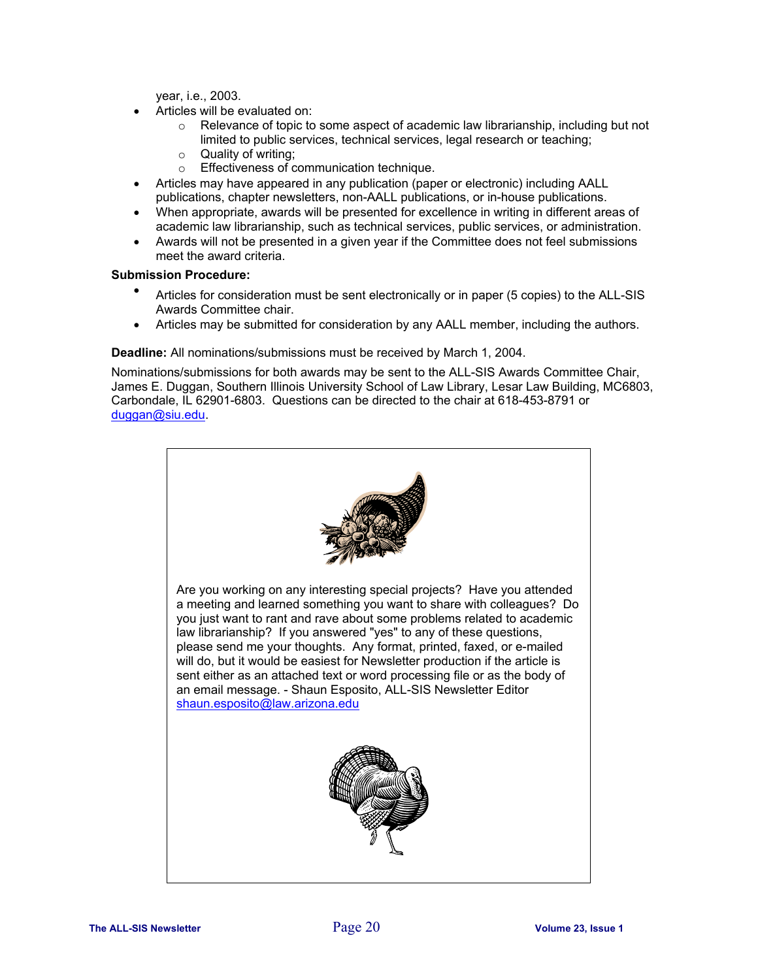year, i.e., 2003.

- Articles will be evaluated on:
	- $\circ$  Relevance of topic to some aspect of academic law librarianship, including but not limited to public services, technical services, legal research or teaching;
	- $\circ$  Quality of writing;
	- o Effectiveness of communication technique.
- Articles may have appeared in any publication (paper or electronic) including AALL publications, chapter newsletters, non-AALL publications, or in-house publications.
- When appropriate, awards will be presented for excellence in writing in different areas of academic law librarianship, such as technical services, public services, or administration.
- Awards will not be presented in a given year if the Committee does not feel submissions meet the award criteria.

#### **Submission Procedure:**

- Articles for consideration must be sent electronically or in paper (5 copies) to the ALL-SIS Awards Committee chair.
- Articles may be submitted for consideration by any AALL member, including the authors.

**Deadline:** All nominations/submissions must be received by March 1, 2004.

Nominations/submissions for both awards may be sent to the ALL-SIS Awards Committee Chair, James E. Duggan, Southern Illinois University School of Law Library, Lesar Law Building, MC6803, Carbondale, IL 62901-6803. Questions can be directed to the chair at 618-453-8791 or duggan@siu.edu.